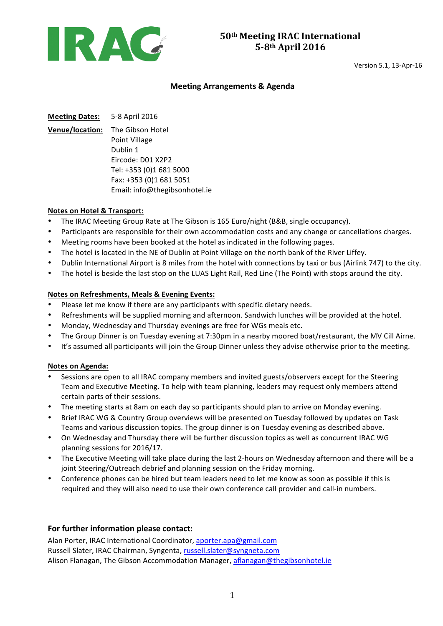

Version 5.1, 13-Apr-16

#### **Meeting Arrangements & Agenda**

**Meeting Dates:** 5-8 April 2016

**Venue/location:** The Gibson Hotel Point Village Dublin 1 Eircode: D01 X2P2 Tel: +353 (0)1 681 5000 Fax: +353 (0)1 681 5051 Email: info@thegibsonhotel.ie

#### **Notes on Hotel & Transport:**

- The IRAC Meeting Group Rate at The Gibson is 165 Euro/night (B&B, single occupancy).
- Participants are responsible for their own accommodation costs and any change or cancellations charges.
- Meeting rooms have been booked at the hotel as indicated in the following pages.
- The hotel is located in the NE of Dublin at Point Village on the north bank of the River Liffey.
- Dublin International Airport is 8 miles from the hotel with connections by taxi or bus (Airlink 747) to the city.
- The hotel is beside the last stop on the LUAS Light Rail, Red Line (The Point) with stops around the city.

#### **Notes on Refreshments, Meals & Evening Events:**

- Please let me know if there are any participants with specific dietary needs.
- Refreshments will be supplied morning and afternoon. Sandwich lunches will be provided at the hotel.
- Monday, Wednesday and Thursday evenings are free for WGs meals etc.
- The Group Dinner is on Tuesday evening at 7:30pm in a nearby moored boat/restaurant, the MV Cill Airne.
- It's assumed all participants will join the Group Dinner unless they advise otherwise prior to the meeting.

#### **Notes on Agenda:**

- Sessions are open to all IRAC company members and invited guests/observers except for the Steering Team and Executive Meeting. To help with team planning, leaders may request only members attend certain parts of their sessions.
- The meeting starts at 8am on each day so participants should plan to arrive on Monday evening.
- Brief IRAC WG & Country Group overviews will be presented on Tuesday followed by updates on Task Teams and various discussion topics. The group dinner is on Tuesday evening as described above.
- On Wednesday and Thursday there will be further discussion topics as well as concurrent IRAC WG planning sessions for 2016/17.
- The Executive Meeting will take place during the last 2-hours on Wednesday afternoon and there will be a joint Steering/Outreach debrief and planning session on the Friday morning.
- Conference phones can be hired but team leaders need to let me know as soon as possible if this is required and they will also need to use their own conference call provider and call-in numbers.

#### For further information please contact:

Alan Porter, IRAC International Coordinator, aporter.apa@gmail.com Russell Slater, IRAC Chairman, Syngenta, russell.slater@syngneta.com Alison Flanagan, The Gibson Accommodation Manager, aflanagan@thegibsonhotel.ie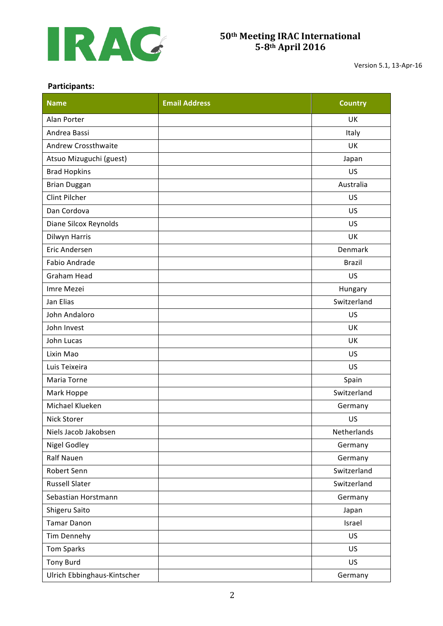

Version 5.1, 13-Apr-16

#### **Participants:**

| <b>Name</b>                 | <b>Email Address</b> | <b>Country</b> |  |
|-----------------------------|----------------------|----------------|--|
| Alan Porter                 |                      | UK             |  |
| Andrea Bassi                |                      | Italy          |  |
| Andrew Crossthwaite         |                      | <b>UK</b>      |  |
| Atsuo Mizuguchi (guest)     |                      | Japan          |  |
| <b>Brad Hopkins</b>         |                      | US             |  |
| <b>Brian Duggan</b>         |                      | Australia      |  |
| Clint Pilcher               |                      | US             |  |
| Dan Cordova                 |                      | US             |  |
| Diane Silcox Reynolds       |                      | US             |  |
| Dilwyn Harris               |                      | UK             |  |
| Eric Andersen               |                      | Denmark        |  |
| Fabio Andrade               |                      | <b>Brazil</b>  |  |
| <b>Graham Head</b>          |                      | US             |  |
| Imre Mezei                  |                      | Hungary        |  |
| Jan Elias                   |                      | Switzerland    |  |
| John Andaloro               |                      | US             |  |
| John Invest                 |                      | UK             |  |
| John Lucas                  |                      | <b>UK</b>      |  |
| Lixin Mao                   |                      | US             |  |
| Luis Teixeira               |                      | US             |  |
| Maria Torne                 |                      | Spain          |  |
| Mark Hoppe                  |                      | Switzerland    |  |
| Michael Klueken             |                      | Germany        |  |
| <b>Nick Storer</b>          |                      | US             |  |
| Niels Jacob Jakobsen        |                      | Netherlands    |  |
| <b>Nigel Godley</b>         |                      | Germany        |  |
| Ralf Nauen                  |                      | Germany        |  |
| Robert Senn                 |                      | Switzerland    |  |
| <b>Russell Slater</b>       |                      | Switzerland    |  |
| Sebastian Horstmann         |                      | Germany        |  |
| Shigeru Saito               |                      | Japan          |  |
| <b>Tamar Danon</b>          |                      | Israel         |  |
| Tim Dennehy                 |                      | US             |  |
| <b>Tom Sparks</b>           |                      | US             |  |
| <b>Tony Burd</b>            |                      | US             |  |
| Ulrich Ebbinghaus-Kintscher |                      | Germany        |  |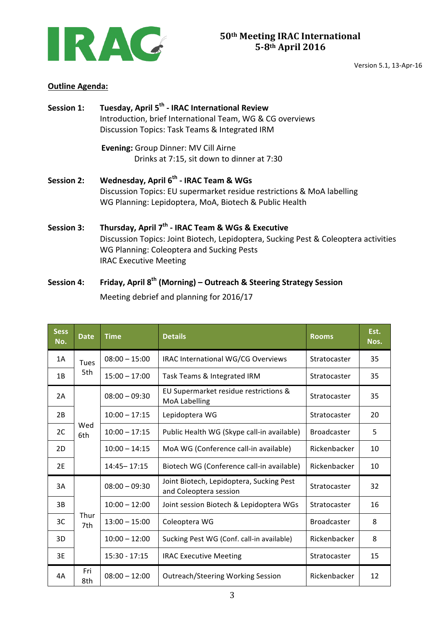

Version 5.1, 13-Apr-16

### **Outline Agenda:**

| <b>Session 1:</b> | Tuesday, April 5 <sup>th</sup> - IRAC International Review<br>Introduction, brief International Team, WG & CG overviews<br>Discussion Topics: Task Teams & Integrated IRM                                                          |  |  |  |
|-------------------|------------------------------------------------------------------------------------------------------------------------------------------------------------------------------------------------------------------------------------|--|--|--|
|                   | <b>Evening: Group Dinner: MV Cill Airne</b><br>Drinks at 7:15, sit down to dinner at 7:30                                                                                                                                          |  |  |  |
| <b>Session 2:</b> | Wednesday, April 6 <sup>th</sup> - IRAC Team & WGs<br>Discussion Topics: EU supermarket residue restrictions & MoA labelling<br>WG Planning: Lepidoptera, MoA, Biotech & Public Health                                             |  |  |  |
| <b>Session 3:</b> | Thursday, April 7 <sup>th</sup> - IRAC Team & WGs & Executive<br>Discussion Topics: Joint Biotech, Lepidoptera, Sucking Pest & Coleoptera activities<br>WG Planning: Coleoptera and Sucking Pests<br><b>IRAC Executive Meeting</b> |  |  |  |

# Session 4: Friday, April 8<sup>th</sup> (Morning) – Outreach & Steering Strategy Session Meeting debrief and planning for 2016/17

| <b>Sess</b><br>No. | <b>Date</b> | <b>Time</b>     | <b>Details</b>                                                     | <b>Rooms</b>       | Est.<br>Nos. |
|--------------------|-------------|-----------------|--------------------------------------------------------------------|--------------------|--------------|
| 1A                 | Tues<br>5th | $08:00 - 15:00$ | IRAC International WG/CG Overviews                                 | Stratocaster       | 35           |
| 1B                 |             | $15:00 - 17:00$ | Task Teams & Integrated IRM                                        | Stratocaster       | 35           |
| 2A                 | Wed<br>6th  | $08:00 - 09:30$ | EU Supermarket residue restrictions &<br><b>MoA Labelling</b>      | Stratocaster       | 35           |
| 2B                 |             | $10:00 - 17:15$ | Lepidoptera WG                                                     | Stratocaster       | 20           |
| 2C                 |             | $10:00 - 17:15$ | Public Health WG (Skype call-in available)                         | <b>Broadcaster</b> | 5            |
| 2D                 |             | $10:00 - 14:15$ | MoA WG (Conference call-in available)                              | Rickenbacker       | 10           |
| 2E                 |             | 14:45 - 17:15   | Biotech WG (Conference call-in available)                          | Rickenbacker       | 10           |
| 3A                 | Thur<br>7th | $08:00 - 09:30$ | Joint Biotech, Lepidoptera, Sucking Pest<br>and Coleoptera session | Stratocaster       | 32           |
| 3B                 |             | $10:00 - 12:00$ | Joint session Biotech & Lepidoptera WGs                            | Stratocaster       | 16           |
| 3C                 |             | $13:00 - 15:00$ | Coleoptera WG                                                      | <b>Broadcaster</b> | 8            |
| 3D                 |             | $10:00 - 12:00$ | Sucking Pest WG (Conf. call-in available)                          | Rickenbacker       | 8            |
| 3E                 |             | $15:30 - 17:15$ | <b>IRAC Executive Meeting</b>                                      | Stratocaster       | 15           |
| 4А                 | Fri<br>8th  | $08:00 - 12:00$ | <b>Outreach/Steering Working Session</b>                           | Rickenbacker       | 12           |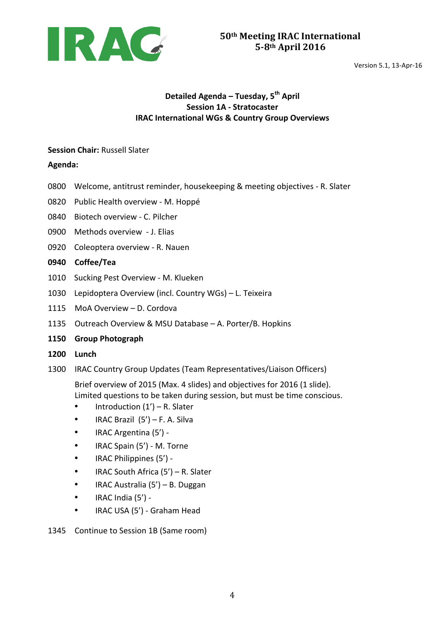

## **Detailed Agenda – Tuesday, 5th April Session 1A - Stratocaster IRAC International WGs & Country Group Overviews**

#### **Session Chair: Russell Slater**

**Agenda:** 

- 0800 Welcome, antitrust reminder, housekeeping & meeting objectives R. Slater
- 0820 Public Health overview M. Hoppé
- 0840 Biotech overview C. Pilcher
- 0900 Methods overview J. Elias
- 0920 Coleoptera overview R. Nauen

#### **0940 Coffee/Tea**

- 1010 Sucking Pest Overview M. Klueken
- 1030 Lepidoptera Overview (incl. Country WGs) L. Teixeira
- 1115 MoA Overview D. Cordova
- 1135 Outreach Overview & MSU Database A. Porter/B. Hopkins
- **1150 Group Photograph**
- **1200 Lunch**
- 1300 IRAC Country Group Updates (Team Representatives/Liaison Officers)

Brief overview of 2015 (Max. 4 slides) and objectives for 2016 (1 slide). Limited questions to be taken during session, but must be time conscious.

- Introduction  $(1') R$ . Slater
- IRAC Brazil  $(5')$  F. A. Silva
- IRAC Argentina (5') -
- IRAC Spain (5') M. Torne
- IRAC Philippines (5') -
- IRAC South Africa  $(5') R$ . Slater
- IRAC Australia (5') B. Duggan
- IRAC India  $(5')$  -
- IRAC USA (5') Graham Head

#### 1345 Continue to Session 1B (Same room)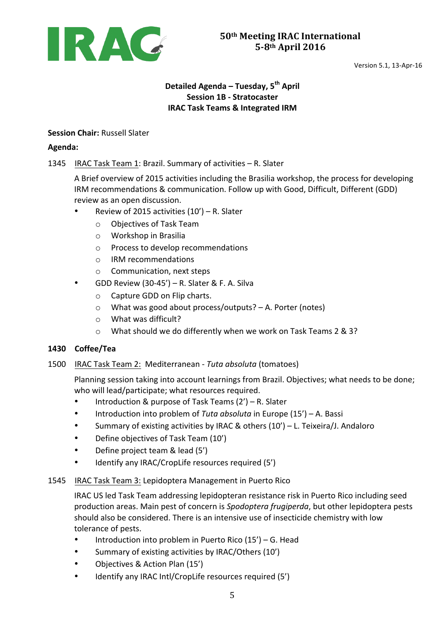

# **Detailed Agenda – Tuesday, 5th April Session 1B - Stratocaster IRAC Task Teams & Integrated IRM**

## **Session Chair: Russell Slater**

### **Agenda:**

## 1345 IRAC Task Team 1: Brazil. Summary of activities - R. Slater

A Brief overview of 2015 activities including the Brasilia workshop, the process for developing IRM recommendations & communication. Follow up with Good, Difficult, Different (GDD) review as an open discussion.

- Review of 2015 activities  $(10') R$ . Slater
	- o Objectives of Task Team
	- $\circ$  Workshop in Brasilia
	- o Process to develop recommendations
	- o IRM recommendations
	- $\circ$  Communication, next steps
- GDD Review  $(30-45') R$ . Slater & F. A. Silva
	- $\circ$  Capture GDD on Flip charts.
	- $\circ$  What was good about process/outputs? A. Porter (notes)
	- $\circ$  What was difficult?
	- $\circ$  What should we do differently when we work on Task Teams 2 & 3?

### **1430 Coffee/Tea**

1500 IRAC Task Team 2: Mediterranean - Tuta absoluta (tomatoes)

Planning session taking into account learnings from Brazil. Objectives; what needs to be done; who will lead/participate; what resources required.

- Introduction & purpose of Task Teams (2') R. Slater
- Introduction into problem of *Tuta absoluta* in Europe (15') A. Bassi
- Summary of existing activities by IRAC & others  $(10') L$ . Teixeira/J. Andaloro
- Define objectives of Task Team (10')
- Define project team & lead (5')
- Identify any IRAC/CropLife resources required (5')

### 1545 IRAC Task Team 3: Lepidoptera Management in Puerto Rico

IRAC US led Task Team addressing lepidopteran resistance risk in Puerto Rico including seed production areas. Main pest of concern is *Spodoptera frugiperda*, but other lepidoptera pests should also be considered. There is an intensive use of insecticide chemistry with low tolerance of pests.

- Introduction into problem in Puerto Rico  $(15') G$ . Head
- Summary of existing activities by IRAC/Others (10')
- Objectives & Action Plan (15')
- Identify any IRAC Intl/CropLife resources required (5')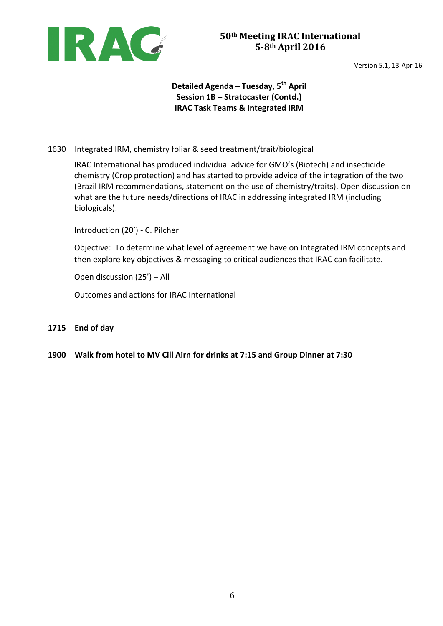

## **Detailed Agenda – Tuesday, 5th April Session 1B – Stratocaster (Contd.) IRAC Task Teams & Integrated IRM**

## 1630 Integrated IRM, chemistry foliar & seed treatment/trait/biological

IRAC International has produced individual advice for GMO's (Biotech) and insecticide chemistry (Crop protection) and has started to provide advice of the integration of the two (Brazil IRM recommendations, statement on the use of chemistry/traits). Open discussion on what are the future needs/directions of IRAC in addressing integrated IRM (including biologicals).

Introduction (20') - C. Pilcher

Objective: To determine what level of agreement we have on Integrated IRM concepts and then explore key objectives & messaging to critical audiences that IRAC can facilitate.

Open discussion  $(25') - All$ 

Outcomes and actions for IRAC International

#### **1715 End of day**

**1900** Walk from hotel to MV Cill Airn for drinks at 7:15 and Group Dinner at 7:30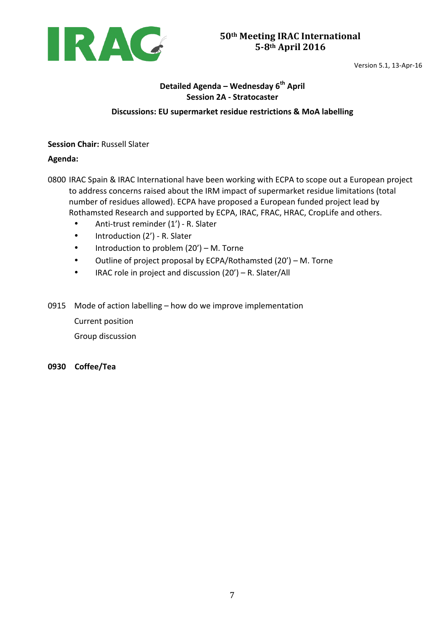

# **Detailed Agenda – Wednesday 6th April Session 2A - Stratocaster**

### **Discussions: EU supermarket residue restrictions & MoA labelling**

**Session Chair: Russell Slater** 

### **Agenda:**

- 0800 IRAC Spain & IRAC International have been working with ECPA to scope out a European project to address concerns raised about the IRM impact of supermarket residue limitations (total number of residues allowed). ECPA have proposed a European funded project lead by Rothamsted Research and supported by ECPA, IRAC, FRAC, HRAC, CropLife and others.
	- Anti-trust reminder (1') R. Slater
	- Introduction (2') R. Slater
	- Introduction to problem  $(20') M$ . Torne
	- Outline of project proposal by ECPA/Rothamsted  $(20') M$ . Torne
	- IRAC role in project and discussion  $(20') R$ . Slater/All
- 0915 Mode of action labelling how do we improve implementation Current position Group discussion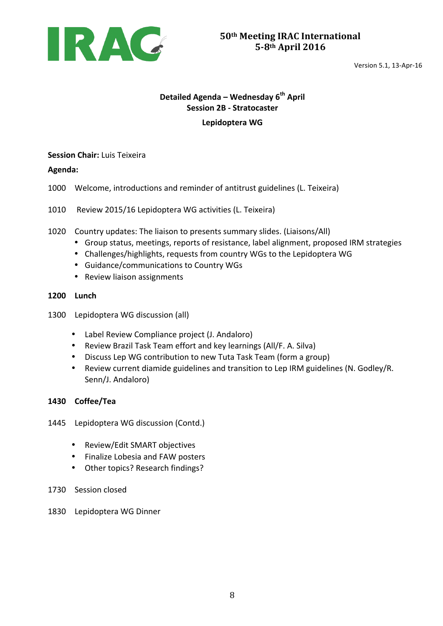

# **Detailed Agenda – Wednesday 6th April Session 2B - Stratocaster**

### **Lepidoptera WG**

### **Session Chair: Luis Teixeira**

**Agenda:** 

- 1000 Welcome, introductions and reminder of antitrust guidelines (L. Teixeira)
- 1010 Review 2015/16 Lepidoptera WG activities (L. Teixeira)
- 1020 Country updates: The liaison to presents summary slides. (Liaisons/All)
	- Group status, meetings, reports of resistance, label alignment, proposed IRM strategies
	- Challenges/highlights, requests from country WGs to the Lepidoptera WG
	- Guidance/communications to Country WGs
	- Review liaison assignments
- **1200 Lunch**
- 1300 Lepidoptera WG discussion (all)
	- Label Review Compliance project (J. Andaloro)
	- Review Brazil Task Team effort and key learnings (All/F. A. Silva)
	- Discuss Lep WG contribution to new Tuta Task Team (form a group)
	- Review current diamide guidelines and transition to Lep IRM guidelines (N. Godley/R. Senn/J. Andaloro)

- 1445 Lepidoptera WG discussion (Contd.)
	- Review/Edit SMART objectives
	- Finalize Lobesia and FAW posters
	- Other topics? Research findings?
- 1730 Session closed
- 1830 Lepidoptera WG Dinner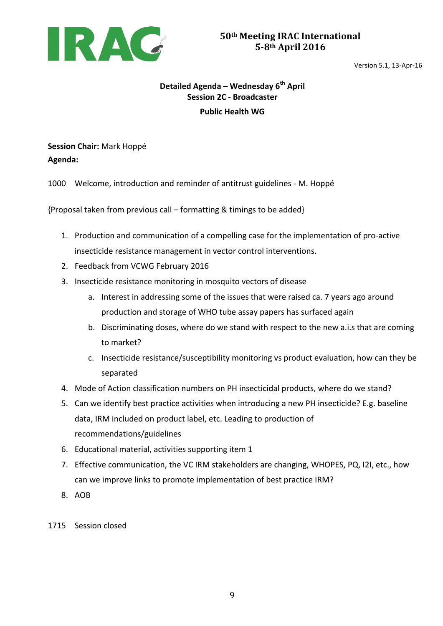

# **Detailed Agenda – Wednesday 6th April Session 2C - Broadcaster Public Health WG**

# **Session Chair:** Mark Hoppé **Agenda:**

1000 Welcome, introduction and reminder of antitrust guidelines - M. Hoppé

 ${Proposal taken from previous call – formatting & timing to be added}$ 

- 1. Production and communication of a compelling case for the implementation of pro-active insecticide resistance management in vector control interventions.
- 2. Feedback from VCWG February 2016
- 3. Insecticide resistance monitoring in mosquito vectors of disease
	- a. Interest in addressing some of the issues that were raised ca. 7 years ago around production and storage of WHO tube assay papers has surfaced again
	- b. Discriminating doses, where do we stand with respect to the new a.i.s that are coming to market?
	- c. Insecticide resistance/susceptibility monitoring vs product evaluation, how can they be separated
- 4. Mode of Action classification numbers on PH insecticidal products, where do we stand?
- 5. Can we identify best practice activities when introducing a new PH insecticide? E.g. baseline data, IRM included on product label, etc. Leading to production of recommendations/guidelines
- 6. Educational material, activities supporting item 1
- 7. Effective communication, the VC IRM stakeholders are changing, WHOPES, PQ, I2I, etc., how can we improve links to promote implementation of best practice IRM?
- 8. AOB
- 1715 Session closed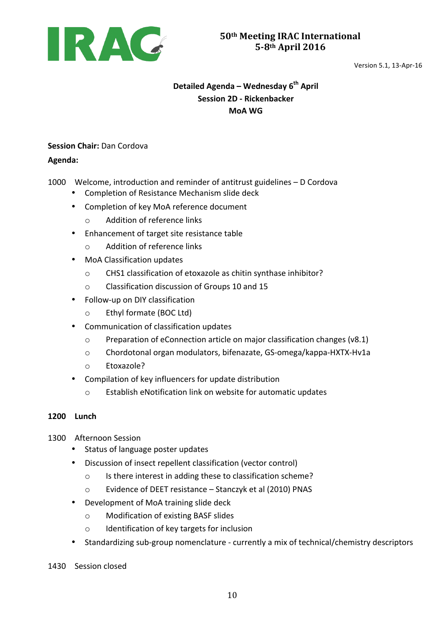

Version 5.1, 13-Apr-16

# **Detailed Agenda – Wednesday 6th April Session 2D - Rickenbacker MoA WG**

## **Session Chair: Dan Cordova**

## **Agenda:**

1000 Welcome, introduction and reminder of antitrust guidelines - D Cordova

- Completion of Resistance Mechanism slide deck
- Completion of key MoA reference document
	- o Addition of reference links
- Enhancement of target site resistance table
	- o Addition of reference links
- MoA Classification updates
	- $\circ$  CHS1 classification of etoxazole as chitin synthase inhibitor?
	- o Classification discussion of Groups 10 and 15
- Follow-up on DIY classification
	- o Ethyl formate (BOC Ltd)
- Communication of classification updates
	- $\circ$  Preparation of eConnection article on major classification changes (v8.1)
	- $\circ$  Chordotonal organ modulators, bifenazate, GS-omega/kappa-HXTX-Hv1a
	- o Etoxazole?
- Compilation of key influencers for update distribution
	- $\circ$  Establish eNotification link on website for automatic updates

## **1200 Lunch**

- 1300 Afternoon Session
	- Status of language poster updates
	- Discussion of insect repellent classification (vector control)
		- $\circ$  Is there interest in adding these to classification scheme?
		- o Evidence of DEET resistance Stanczyk et al (2010) PNAS
	- Development of MoA training slide deck
		- o Modification of existing BASF slides
		- o Identification of key targets for inclusion
	- Standardizing sub-group nomenclature currently a mix of technical/chemistry descriptors
- 1430 Session closed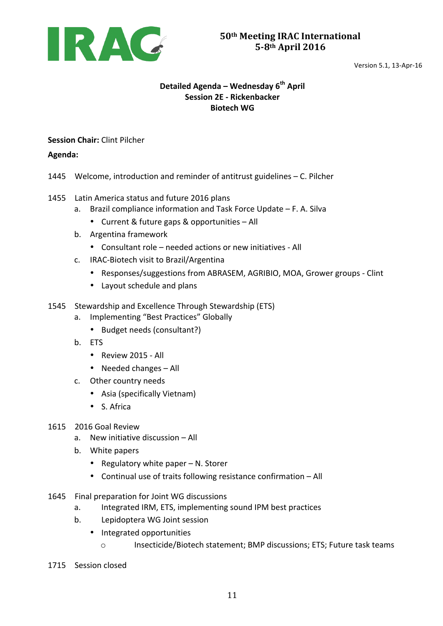

## **Detailed Agenda – Wednesday 6th April Session 2E - Rickenbacker Biotech WG**

**Session Chair:** Clint Pilcher

### **Agenda:**

- 1445 Welcome, introduction and reminder of antitrust guidelines C. Pilcher
- 1455 Latin America status and future 2016 plans
	- a. Brazil compliance information and Task Force Update  $-$  F. A. Silva
		- Current & future gaps & opportunities All
	- b. Argentina framework
		- Consultant role needed actions or new initiatives All
	- c. IRAC-Biotech visit to Brazil/Argentina
		- Responses/suggestions from ABRASEM, AGRIBIO, MOA, Grower groups Clint
		- Layout schedule and plans
- 1545 Stewardship and Excellence Through Stewardship (ETS)
	- a. Implementing "Best Practices" Globally
		- Budget needs (consultant?)
	- b. ETS
		- Review 2015 All
		- Needed changes  $-$  All
	- c. Other country needs
		- Asia (specifically Vietnam)
		- S. Africa
- 1615 2016 Goal Review
	- a. New initiative discussion All
	- b. White papers
		- Regulatory white paper  $N$ . Storer
		- Continual use of traits following resistance confirmation All
- 1645 Final preparation for Joint WG discussions
	- a. Integrated IRM, ETS, implementing sound IPM best practices
	- b. Lepidoptera WG Joint session
		- Integrated opportunities
			- o Insecticide/Biotech statement; BMP discussions; ETS; Future task teams
- 1715 Session closed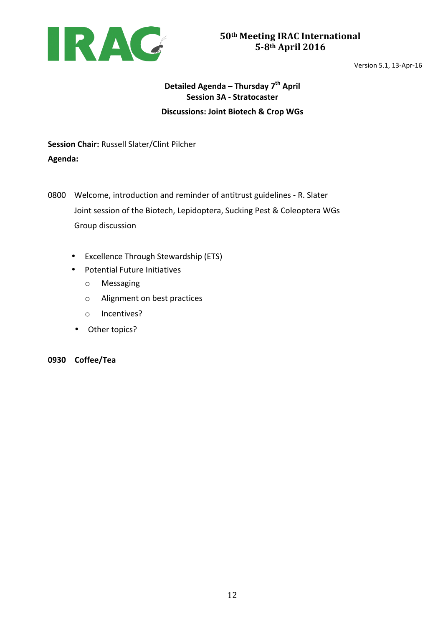

Version 5.1, 13-Apr-16

# **Detailed Agenda – Thursday 7th April Session 3A - Stratocaster Discussions: Joint Biotech & Crop WGs**

**Session Chair: Russell Slater/Clint Pilcher Agenda:** 

0800 Welcome, introduction and reminder of antitrust guidelines - R. Slater Joint session of the Biotech, Lepidoptera, Sucking Pest & Coleoptera WGs Group discussion

- Excellence Through Stewardship (ETS)
- Potential Future Initiatives
	- o Messaging
	- $\circ$  Alignment on best practices
	- o Incentives?
- Other topics?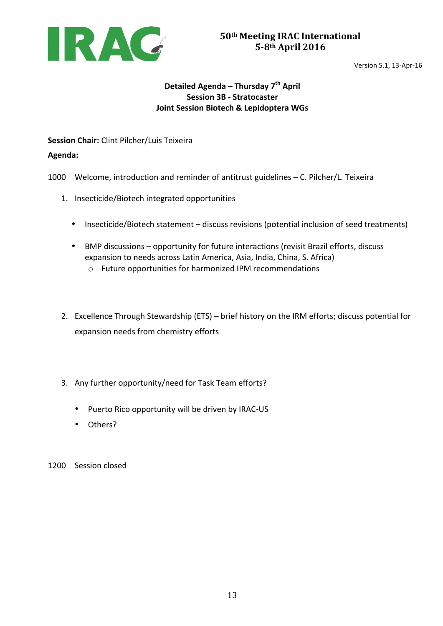

## **Detailed Agenda – Thursday 7th April Session 3B - Stratocaster Joint Session Biotech & Lepidoptera WGs**

**Session Chair:** Clint Pilcher/Luis Teixeira

**Agenda:** 

1000 Welcome, introduction and reminder of antitrust guidelines - C. Pilcher/L. Teixeira

- 1. Insecticide/Biotech integrated opportunities
	- Insecticide/Biotech statement discuss revisions (potential inclusion of seed treatments)
	- BMP discussions opportunity for future interactions (revisit Brazil efforts, discuss expansion to needs across Latin America, Asia, India, China, S. Africa)
		- $\circ$  Future opportunities for harmonized IPM recommendations
- 2. Excellence Through Stewardship (ETS) brief history on the IRM efforts; discuss potential for expansion needs from chemistry efforts
- 3. Any further opportunity/need for Task Team efforts?
	- Puerto Rico opportunity will be driven by IRAC-US
	- Others?
- 1200 Session closed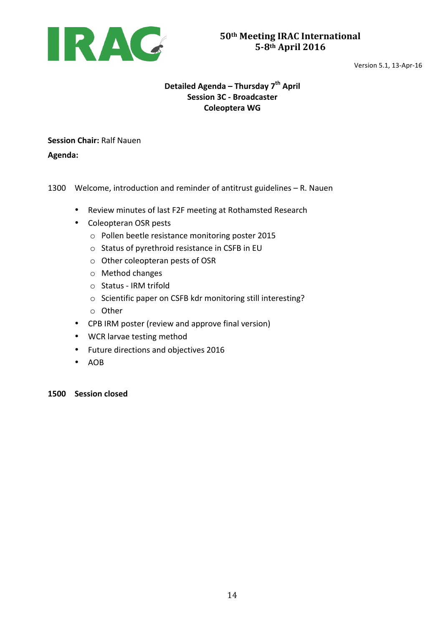

## **Detailed Agenda – Thursday 7th April Session 3C - Broadcaster Coleoptera WG**

**Session Chair: Ralf Nauen** 

**Agenda:** 

1300 Welcome, introduction and reminder of antitrust guidelines - R. Nauen

- Review minutes of last F2F meeting at Rothamsted Research
- Coleopteran OSR pests
	- o Pollen beetle resistance monitoring poster 2015
	- $\circ$  Status of pyrethroid resistance in CSFB in EU
	- $\circ$  Other coleopteran pests of OSR
	- $\circ$  Method changes
	- $\circ$  Status IRM trifold
	- o Scientific paper on CSFB kdr monitoring still interesting?
	- o Other
- CPB IRM poster (review and approve final version)
- WCR larvae testing method
- Future directions and objectives 2016
- AOB

**1500 Session closed**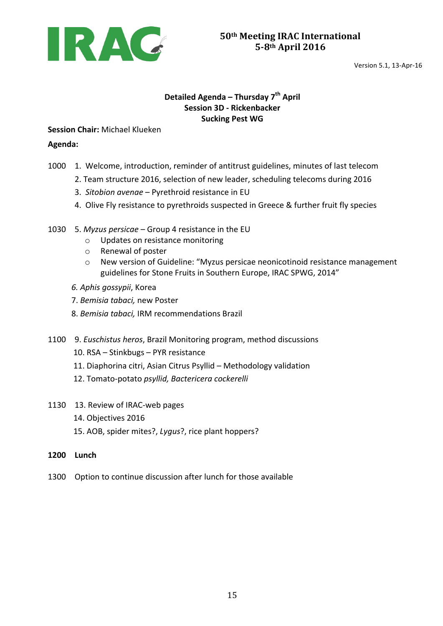

## **Detailed Agenda – Thursday 7th April Session 3D - Rickenbacker Sucking Pest WG**

**Session Chair: Michael Klueken** 

### **Agenda:**

- 1000 1. Welcome, introduction, reminder of antitrust guidelines, minutes of last telecom
	- 2. Team structure 2016, selection of new leader, scheduling telecoms during 2016
	- 3. Sitobion avenae Pyrethroid resistance in EU
	- 4. Olive Fly resistance to pyrethroids suspected in Greece & further fruit fly species
- 1030 5. Myzus persicae Group 4 resistance in the EU
	- o Updates on resistance monitoring
	- o Renewal of poster
	- o New version of Guideline: "Myzus persicae neonicotinoid resistance management guidelines for Stone Fruits in Southern Europe, IRAC SPWG, 2014"
	- *6. Aphis gossypii*, Korea
	- 7. *Bemisia tabaci,* new Poster
	- 8. *Bemisia tabaci,* IRM recommendations Brazil
- 1100 9. *Euschistus heros*, Brazil Monitoring program, method discussions
	- 10. RSA Stinkbugs PYR resistance
	- 11. Diaphorina citri, Asian Citrus Psyllid Methodology validation
	- 12. Tomato-potato *psyllid, Bactericera cockerelli*
- 1130 13. Review of IRAC-web pages
	- 14. Objectives 2016
	- 15. AOB, spider mites?, *Lygus*?, rice plant hoppers?
- **1200 Lunch**
- 1300 Option to continue discussion after lunch for those available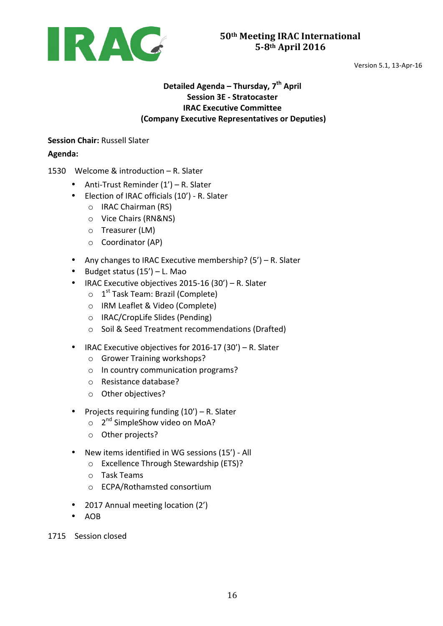

## **Detailed Agenda – Thursday, 7th April Session 3E - Stratocaster IRAC Executive Committee (Company Executive Representatives or Deputies)**

## **Session Chair: Russell Slater**

### **Agenda:**

- 1530 Welcome & introduction R. Slater
	- Anti-Trust Reminder  $(1') R$ . Slater
	- Election of IRAC officials (10') R. Slater
		- o IRAC Chairman (RS)
		- o Vice Chairs (RN&NS)
		- $\circ$  Treasurer (LM)
		- $\circ$  Coordinator (AP)
	- Any changes to IRAC Executive membership?  $(5') R$ . Slater
	- Budget status  $(15') L$ . Mao
	- IRAC Executive objectives  $2015-16(30') R$ . Slater
		- $\circ$  1<sup>st</sup> Task Team: Brazil (Complete)
		- o IRM Leaflet & Video (Complete)
		- $\circ$  IRAC/CropLife Slides (Pending)
		- o Soil & Seed Treatment recommendations (Drafted)
	- IRAC Executive objectives for  $2016-17$  (30') R. Slater
		- o Grower Training workshops?
		- $\circ$  In country communication programs?
		- o Resistance database?
		- o Other objectives?
	- Projects requiring funding  $(10') R$ . Slater
		- $\circ$  2<sup>nd</sup> SimpleShow video on MoA?
		- o Other projects?
	- New items identified in WG sessions (15') All
		- o Excellence Through Stewardship (ETS)?
		- o Task Teams
		- o ECPA/Rothamsted consortium
	- 2017 Annual meeting location (2')
	- AOB
- 1715 Session closed